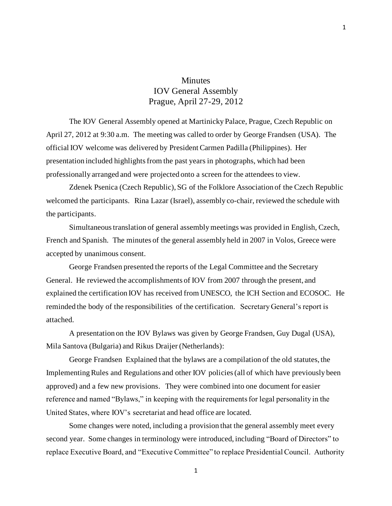# **Minutes** IOV General Assembly Prague, April 27-29, 2012

The IOV General Assembly opened at Martinicky Palace, Prague, Czech Republic on April 27, 2012 at 9:30 a.m. The meeting was called to order by George Frandsen (USA). The official IOV welcome was delivered by President Carmen Padilla (Philippines). Her presentation included highlights from the past years in photographs, which had been professionally arranged and were projected onto a screen for the attendees to view.

Zdenek Psenica (Czech Republic), SG of the Folklore Association of the Czech Republic welcomed the participants. Rina Lazar (Israel), assembly co-chair, reviewed the schedule with the participants.

Simultaneous translation of general assembly meetings was provided in English, Czech, French and Spanish. The minutes of the general assembly held in 2007 in Volos, Greece were accepted by unanimous consent.

George Frandsen presented the reports of the Legal Committee and the Secretary General. He reviewed the accomplishments of IOV from 2007 through the present, and explained the certification IOV has received from UNESCO, the ICH Section and ECOSOC. He reminded the body of the responsibilities of the certification. Secretary General's report is attached.

A presentation on the IOV Bylaws was given by George Frandsen, Guy Dugal (USA), Mila Santova (Bulgaria) and Rikus Draijer (Netherlands):

George Frandsen Explained that the bylaws are a compilation of the old statutes, the Implementing Rules and Regulations and other IOV policies (all of which have previously been approved) and a few new provisions. They were combined into one document for easier reference and named "Bylaws," in keeping with the requirements for legal personality in the United States, where IOV's secretariat and head office are located.

Some changes were noted, including a provision that the general assembly meet every second year. Some changes in terminology were introduced, including "Board of Directors" to replace Executive Board, and "Executive Committee" to replace Presidential Council. Authority

1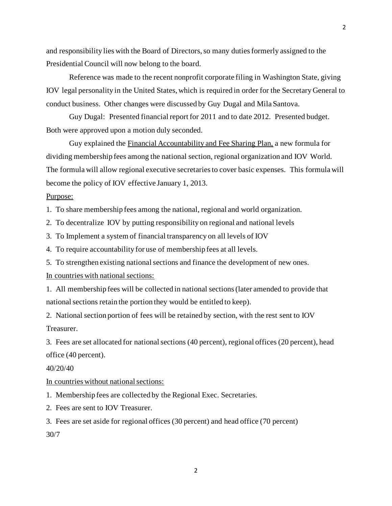and responsibility lies with the Board of Directors, so many duties formerly assigned to the Presidential Council will now belong to the board.

Reference was made to the recent nonprofit corporate filing in Washington State, giving IOV legal personality in the United States, which is required in order for the Secretary General to conduct business. Other changes were discussed by Guy Dugal and Mila Santova.

Guy Dugal: Presented financial report for 2011 and to date 2012. Presented budget. Both were approved upon a motion duly seconded.

Guy explained the Financial Accountability and Fee Sharing Plan, a new formula for dividing membership fees among the national section, regional organization and IOV World. The formula will allow regional executive secretaries to cover basic expenses. This formula will become the policy of IOV effective January 1, 2013.

# Purpose:

1. To share membership fees among the national, regional and world organization.

2. To decentralize IOV by putting responsibility on regional and national levels

3. To Implement a system of financial transparency on all levels of IOV

4. To require accountability for use of membership fees at all levels.

5. To strengthen existing national sections and finance the development of new ones.

## In countries with national sections:

1. All membership fees will be collected in national sections (later amended to provide that national sections retain the portion they would be entitled to keep).

2. National section portion of fees will be retained by section, with the rest sent to IOV Treasurer.

3. Fees are set allocated for national sections (40 percent), regional offices (20 percent), head office (40 percent).

#### 40/20/40

In countries without national sections:

1. Membership fees are collected by the Regional Exec. Secretaries.

2. Fees are sent to IOV Treasurer.

3. Fees are set aside for regional offices (30 percent) and head office (70 percent) 30/7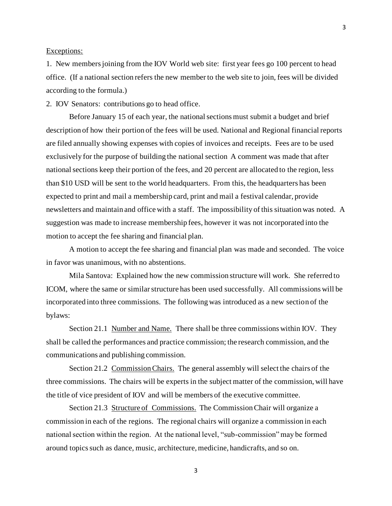### Exceptions:

1. New members joining from the IOV World web site: first year fees go 100 percent to head office. (If a national section refers the new member to the web site to join, fees will be divided according to the formula.)

2. IOV Senators: contributions go to head office.

Before January 15 of each year, the national sections must submit a budget and brief description of how their portion of the fees will be used. National and Regional financial reports are filed annually showing expenses with copies of invoices and receipts. Fees are to be used exclusively for the purpose of building the national section A comment was made that after national sections keep their portion of the fees, and 20 percent are allocated to the region, less than \$10 USD will be sent to the world headquarters. From this, the headquarters has been expected to print and mail a membership card, print and mail a festival calendar, provide newsletters and maintain and office with a staff. The impossibility of this situation was noted. A suggestion was made to increase membership fees, however it was not incorporated into the motion to accept the fee sharing and financial plan.

A motion to accept the fee sharing and financial plan was made and seconded. The voice in favor was unanimous, with no abstentions.

Mila Santova: Explained how the new commission structure will work. She referred to ICOM, where the same or similar structure has been used successfully. All commissions will be incorporated into three commissions. The following was introduced as a new section of the bylaws:

Section 21.1 Number and Name. There shall be three commissions within IOV. They shall be called the performances and practice commission; the research commission, and the communications and publishing commission.

Section 21.2 Commission Chairs. The general assembly will select the chairs of the three commissions. The chairs will be experts in the subject matter of the commission, will have the title of vice president of IOV and will be members of the executive committee.

Section 21.3 Structure of Commissions. The Commission Chair will organize a commission in each of the regions. The regional chairs will organize a commission in each national section within the region. At the national level, "sub-commission" may be formed around topics such as dance, music, architecture, medicine, handicrafts, and so on.

3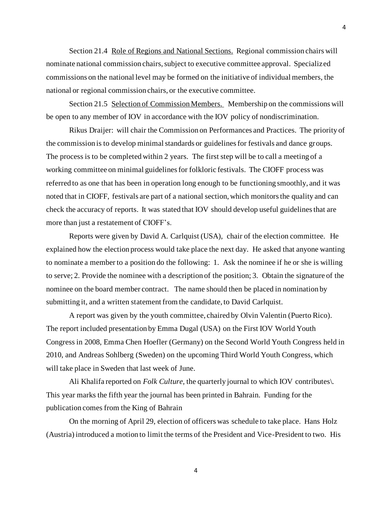Section 21.4 Role of Regions and National Sections. Regional commission chairs will nominate national commission chairs, subject to executive committee approval. Specialized commissions on the national level may be formed on the initiative of individual members, the national or regional commission chairs, or the executive committee.

Section 21.5 Selection of Commission Members. Membership on the commissions will be open to any member of IOV in accordance with the IOV policy of nondiscrimination.

Rikus Draijer: will chair the Commission on Performances and Practices. The priority of the commission is to develop minimal standards or guidelines for festivals and dance groups. The process is to be completed within 2 years. The first step will be to call a meeting of a working committee on minimal guidelines for folkloric festivals. The CIOFF process was referred to as one that has been in operation long enough to be functioning smoothly, and it was noted that in CIOFF, festivals are part of a national section, which monitors the quality and can check the accuracy of reports. It was stated that IOV should develop useful guidelines that are more than just a restatement of CIOFF's.

Reports were given by David A. Carlquist (USA), chair of the election committee. He explained how the election process would take place the next day. He asked that anyone wanting to nominate a member to a position do the following: 1. Ask the nominee if he or she is willing to serve; 2. Provide the nominee with a description of the position; 3. Obtain the signature of the nominee on the board member contract. The name should then be placed in nomination by submitting it, and a written statement from the candidate, to David Carlquist.

A report was given by the youth committee, chaired by Olvin Valentin (Puerto Rico). The report included presentation by Emma Dugal (USA) on the First IOV World Youth Congress in 2008, Emma Chen Hoefler (Germany) on the Second World Youth Congress held in 2010, and Andreas Sohlberg (Sweden) on the upcoming Third World Youth Congress, which will take place in Sweden that last week of June.

Ali Khalifa reported on *Folk Culture,* the quarterly journal to which IOV contributes\. This year marks the fifth year the journal has been printed in Bahrain. Funding for the publication comes from the King of Bahrain

On the morning of April 29, election of officers was schedule to take place. Hans Holz (Austria) introduced a motion to limit the terms of the President and Vice-President to two. His

4